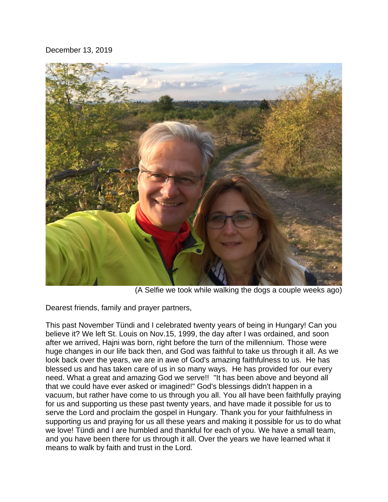December 13, 2019



(A Selfie we took while walking the dogs a couple weeks ago)

Dearest friends, family and prayer partners,

This past November Tündi and I celebrated twenty years of being in Hungary! Can you believe it? We left St. Louis on Nov.15, 1999, the day after I was ordained, and soon after we arrived, Hajni was born, right before the turn of the millennium. Those were huge changes in our life back then, and God was faithful to take us through it all. As we look back over the years, we are in awe of God's amazing faithfulness to us. He has blessed us and has taken care of us in so many ways. He has provided for our every need. What a great and amazing God we serve!! "It has been above and beyond all that we could have ever asked or imagined!" God's blessings didn't happen in a vacuum, but rather have come to us through you all. You all have been faithfully praying for us and supporting us these past twenty years, and have made it possible for us to serve the Lord and proclaim the gospel in Hungary. Thank you for your faithfulness in supporting us and praying for us all these years and making it possible for us to do what we love! Tündi and I are humbled and thankful for each of you. We have a small team, and you have been there for us through it all. Over the years we have learned what it means to walk by faith and trust in the Lord.